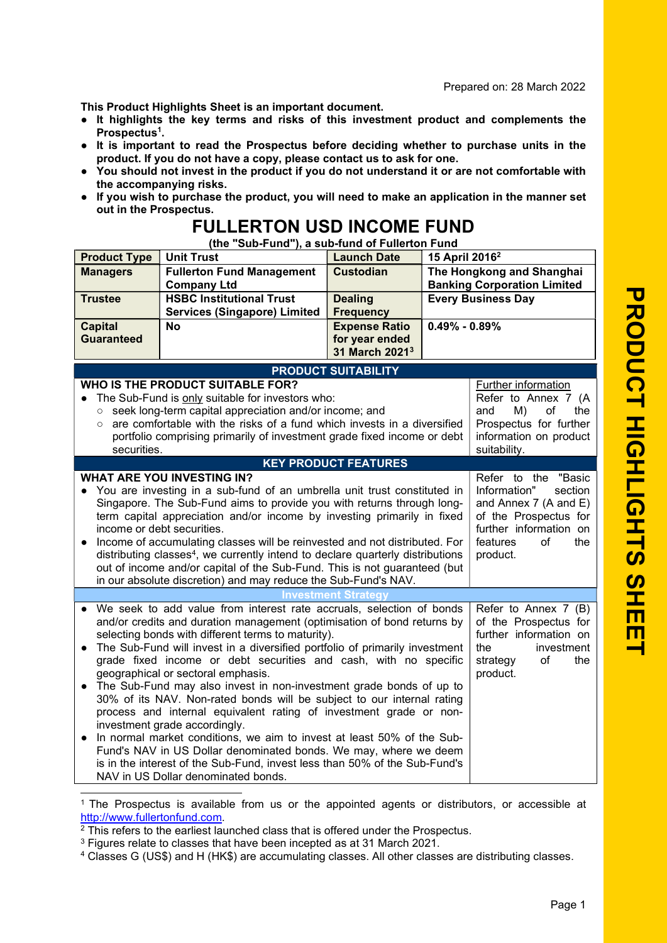This Product Highlights Sheet is an important document.

- It highlights the key terms and risks of this investment product and complements the Prospectus<sup>1</sup>.
- It is important to read the Prospectus before deciding whether to purchase units in the product. If you do not have a copy, please contact us to ask for one.
- You should not invest in the product if you do not understand it or are not comfortable with the accompanying risks.
- If you wish to purchase the product, you will need to make an application in the manner set out in the Prospectus.

## FULLERTON USD INCOME FUND

(the "Sub-Fund"), a sub-fund of Fullerton Fund

| <b>Product Type</b>                                                                                                                                                                                                                                                                                                                                                                                                                                                                                                                                                                                                                                                                                                                                                                                                      | <b>Unit Trust</b>                                                                                                                                                                                                                                                                                                                                                                                                                                                                                                                                                                                                                                                                                                                                                                                                                                                                                                         | <b>Launch Date</b>                                                   | 15 April 2016 <sup>2</sup>                                      |                                                                                                                                          |
|--------------------------------------------------------------------------------------------------------------------------------------------------------------------------------------------------------------------------------------------------------------------------------------------------------------------------------------------------------------------------------------------------------------------------------------------------------------------------------------------------------------------------------------------------------------------------------------------------------------------------------------------------------------------------------------------------------------------------------------------------------------------------------------------------------------------------|---------------------------------------------------------------------------------------------------------------------------------------------------------------------------------------------------------------------------------------------------------------------------------------------------------------------------------------------------------------------------------------------------------------------------------------------------------------------------------------------------------------------------------------------------------------------------------------------------------------------------------------------------------------------------------------------------------------------------------------------------------------------------------------------------------------------------------------------------------------------------------------------------------------------------|----------------------------------------------------------------------|-----------------------------------------------------------------|------------------------------------------------------------------------------------------------------------------------------------------|
| <b>Managers</b>                                                                                                                                                                                                                                                                                                                                                                                                                                                                                                                                                                                                                                                                                                                                                                                                          | <b>Fullerton Fund Management</b><br><b>Company Ltd</b>                                                                                                                                                                                                                                                                                                                                                                                                                                                                                                                                                                                                                                                                                                                                                                                                                                                                    | <b>Custodian</b>                                                     | The Hongkong and Shanghai<br><b>Banking Corporation Limited</b> |                                                                                                                                          |
| <b>Trustee</b>                                                                                                                                                                                                                                                                                                                                                                                                                                                                                                                                                                                                                                                                                                                                                                                                           | <b>HSBC Institutional Trust</b><br><b>Services (Singapore) Limited</b>                                                                                                                                                                                                                                                                                                                                                                                                                                                                                                                                                                                                                                                                                                                                                                                                                                                    | <b>Dealing</b><br><b>Frequency</b>                                   | <b>Every Business Day</b>                                       |                                                                                                                                          |
| <b>Capital</b><br><b>Guaranteed</b>                                                                                                                                                                                                                                                                                                                                                                                                                                                                                                                                                                                                                                                                                                                                                                                      | <b>No</b>                                                                                                                                                                                                                                                                                                                                                                                                                                                                                                                                                                                                                                                                                                                                                                                                                                                                                                                 | <b>Expense Ratio</b><br>for year ended<br>31 March 2021 <sup>3</sup> | $0.49\% - 0.89\%$                                               |                                                                                                                                          |
|                                                                                                                                                                                                                                                                                                                                                                                                                                                                                                                                                                                                                                                                                                                                                                                                                          |                                                                                                                                                                                                                                                                                                                                                                                                                                                                                                                                                                                                                                                                                                                                                                                                                                                                                                                           | <b>PRODUCT SUITABILITY</b>                                           |                                                                 |                                                                                                                                          |
| $\bullet$<br>$\circ$<br>$\circ$<br>securities.                                                                                                                                                                                                                                                                                                                                                                                                                                                                                                                                                                                                                                                                                                                                                                           | WHO IS THE PRODUCT SUITABLE FOR?<br>The Sub-Fund is only suitable for investors who:<br>seek long-term capital appreciation and/or income; and<br>are comfortable with the risks of a fund which invests in a diversified<br>portfolio comprising primarily of investment grade fixed income or debt                                                                                                                                                                                                                                                                                                                                                                                                                                                                                                                                                                                                                      |                                                                      |                                                                 | Further information<br>Refer to Annex 7 (A<br>the<br>and<br>M)<br>οf<br>Prospectus for further<br>information on product<br>suitability. |
|                                                                                                                                                                                                                                                                                                                                                                                                                                                                                                                                                                                                                                                                                                                                                                                                                          |                                                                                                                                                                                                                                                                                                                                                                                                                                                                                                                                                                                                                                                                                                                                                                                                                                                                                                                           | <b>KEY PRODUCT FEATURES</b>                                          |                                                                 |                                                                                                                                          |
| <b>WHAT ARE YOU INVESTING IN?</b><br>Refer to the "Basic<br>You are investing in a sub-fund of an umbrella unit trust constituted in<br>Information"<br>section<br>$\bullet$<br>Singapore. The Sub-Fund aims to provide you with returns through long-<br>and Annex 7 (A and E)<br>term capital appreciation and/or income by investing primarily in fixed<br>of the Prospectus for<br>further information on<br>income or debt securities.<br>Income of accumulating classes will be reinvested and not distributed. For<br>features<br>of<br>the<br>$\bullet$<br>distributing classes <sup>4</sup> , we currently intend to declare quarterly distributions<br>product.<br>out of income and/or capital of the Sub-Fund. This is not guaranteed (but<br>in our absolute discretion) and may reduce the Sub-Fund's NAV. |                                                                                                                                                                                                                                                                                                                                                                                                                                                                                                                                                                                                                                                                                                                                                                                                                                                                                                                           |                                                                      |                                                                 |                                                                                                                                          |
| <b>Investment Strategy</b>                                                                                                                                                                                                                                                                                                                                                                                                                                                                                                                                                                                                                                                                                                                                                                                               |                                                                                                                                                                                                                                                                                                                                                                                                                                                                                                                                                                                                                                                                                                                                                                                                                                                                                                                           |                                                                      |                                                                 |                                                                                                                                          |
|                                                                                                                                                                                                                                                                                                                                                                                                                                                                                                                                                                                                                                                                                                                                                                                                                          | We seek to add value from interest rate accruals, selection of bonds<br>and/or credits and duration management (optimisation of bond returns by<br>selecting bonds with different terms to maturity).<br>The Sub-Fund will invest in a diversified portfolio of primarily investment<br>grade fixed income or debt securities and cash, with no specific<br>geographical or sectoral emphasis.<br>The Sub-Fund may also invest in non-investment grade bonds of up to<br>30% of its NAV. Non-rated bonds will be subject to our internal rating<br>process and internal equivalent rating of investment grade or non-<br>investment grade accordingly.<br>In normal market conditions, we aim to invest at least 50% of the Sub-<br>Fund's NAV in US Dollar denominated bonds. We may, where we deem<br>is in the interest of the Sub-Fund, invest less than 50% of the Sub-Fund's<br>NAV in US Dollar denominated bonds. |                                                                      |                                                                 | Refer to Annex 7 (B)<br>of the Prospectus for<br>further information on<br>the<br>investment<br>of<br>strategy<br>the<br>product.        |

1 The Prospectus is available from us or the appointed agents or distributors, or accessible at http://www.fullertonfund.com.

<sup>3</sup> Figures relate to classes that have been incepted as at 31 March 2021.

<sup>&</sup>lt;sup>2</sup> This refers to the earliest launched class that is offered under the Prospectus.

<sup>4</sup> Classes G (US\$) and H (HK\$) are accumulating classes. All other classes are distributing classes.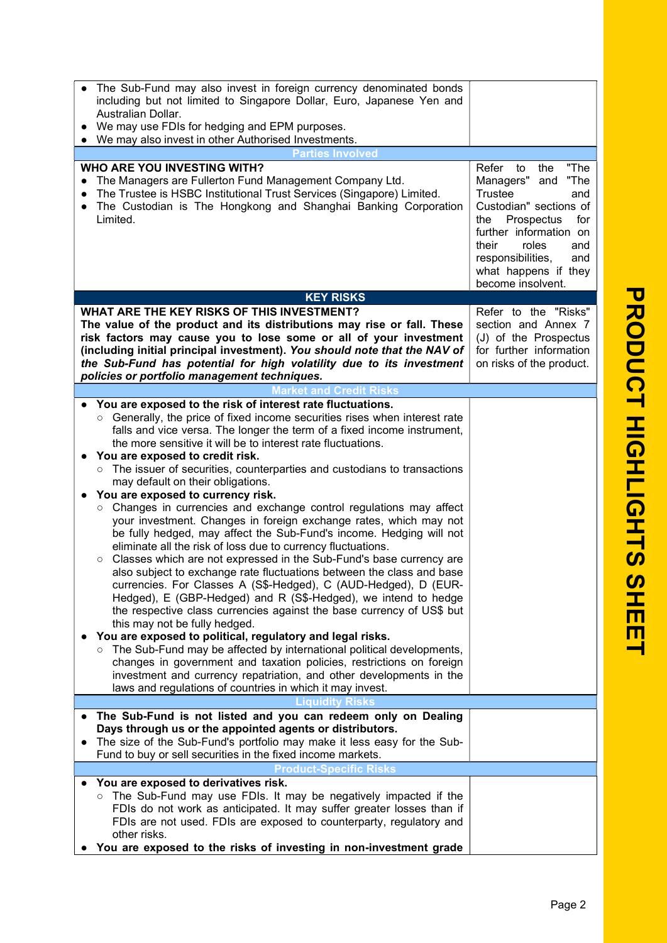| The Sub-Fund may also invest in foreign currency denominated bonds<br>including but not limited to Singapore Dollar, Euro, Japanese Yen and<br>Australian Dollar.<br>We may use FDIs for hedging and EPM purposes.<br>$\bullet$<br>We may also invest in other Authorised Investments.                                                                                                                                                                                                                                                                                                                                                                                                                                                                                                                                                                                                                                                                                                                                                                                                                                                                                                                                                                                                                                                                                                                                                                                                                                                                             |                                                                                                                                                                                                                                                                   |
|--------------------------------------------------------------------------------------------------------------------------------------------------------------------------------------------------------------------------------------------------------------------------------------------------------------------------------------------------------------------------------------------------------------------------------------------------------------------------------------------------------------------------------------------------------------------------------------------------------------------------------------------------------------------------------------------------------------------------------------------------------------------------------------------------------------------------------------------------------------------------------------------------------------------------------------------------------------------------------------------------------------------------------------------------------------------------------------------------------------------------------------------------------------------------------------------------------------------------------------------------------------------------------------------------------------------------------------------------------------------------------------------------------------------------------------------------------------------------------------------------------------------------------------------------------------------|-------------------------------------------------------------------------------------------------------------------------------------------------------------------------------------------------------------------------------------------------------------------|
| <b>Parties Involved</b>                                                                                                                                                                                                                                                                                                                                                                                                                                                                                                                                                                                                                                                                                                                                                                                                                                                                                                                                                                                                                                                                                                                                                                                                                                                                                                                                                                                                                                                                                                                                            |                                                                                                                                                                                                                                                                   |
| WHO ARE YOU INVESTING WITH?<br>The Managers are Fullerton Fund Management Company Ltd.<br>$\bullet$<br>The Trustee is HSBC Institutional Trust Services (Singapore) Limited.<br>$\bullet$<br>The Custodian is The Hongkong and Shanghai Banking Corporation<br>$\bullet$<br>Limited.                                                                                                                                                                                                                                                                                                                                                                                                                                                                                                                                                                                                                                                                                                                                                                                                                                                                                                                                                                                                                                                                                                                                                                                                                                                                               | "The<br>Refer<br>to<br>the<br>Managers"<br>"The<br>and<br><b>Trustee</b><br>and<br>Custodian" sections of<br>Prospectus<br>for<br>the<br>further information on<br>roles<br>their<br>and<br>responsibilities,<br>and<br>what happens if they<br>become insolvent. |
| <b>KEY RISKS</b>                                                                                                                                                                                                                                                                                                                                                                                                                                                                                                                                                                                                                                                                                                                                                                                                                                                                                                                                                                                                                                                                                                                                                                                                                                                                                                                                                                                                                                                                                                                                                   |                                                                                                                                                                                                                                                                   |
| WHAT ARE THE KEY RISKS OF THIS INVESTMENT?<br>The value of the product and its distributions may rise or fall. These<br>risk factors may cause you to lose some or all of your investment<br>(including initial principal investment). You should note that the NAV of<br>the Sub-Fund has potential for high volatility due to its investment<br>policies or portfolio management techniques.                                                                                                                                                                                                                                                                                                                                                                                                                                                                                                                                                                                                                                                                                                                                                                                                                                                                                                                                                                                                                                                                                                                                                                     | Refer to the "Risks"<br>section and Annex 7<br>(J) of the Prospectus<br>for further information<br>on risks of the product.                                                                                                                                       |
| <b>Market and Credit Risks</b>                                                                                                                                                                                                                                                                                                                                                                                                                                                                                                                                                                                                                                                                                                                                                                                                                                                                                                                                                                                                                                                                                                                                                                                                                                                                                                                                                                                                                                                                                                                                     |                                                                                                                                                                                                                                                                   |
| You are exposed to the risk of interest rate fluctuations.<br>Generally, the price of fixed income securities rises when interest rate<br>$\circ$<br>falls and vice versa. The longer the term of a fixed income instrument,<br>the more sensitive it will be to interest rate fluctuations.<br>You are exposed to credit risk.<br>The issuer of securities, counterparties and custodians to transactions<br>$\circ$<br>may default on their obligations.<br>You are exposed to currency risk.<br>Changes in currencies and exchange control regulations may affect<br>$\circ$<br>your investment. Changes in foreign exchange rates, which may not<br>be fully hedged, may affect the Sub-Fund's income. Hedging will not<br>eliminate all the risk of loss due to currency fluctuations.<br>Classes which are not expressed in the Sub-Fund's base currency are<br>$\circ$<br>also subject to exchange rate fluctuations between the class and base<br>currencies. For Classes A (S\$-Hedged), C (AUD-Hedged), D (EUR-<br>Hedged), E (GBP-Hedged) and R (S\$-Hedged), we intend to hedge<br>the respective class currencies against the base currency of US\$ but<br>this may not be fully hedged.<br>You are exposed to political, regulatory and legal risks.<br>The Sub-Fund may be affected by international political developments,<br>$\circ$<br>changes in government and taxation policies, restrictions on foreign<br>investment and currency repatriation, and other developments in the<br>laws and regulations of countries in which it may invest. |                                                                                                                                                                                                                                                                   |
| Liquidity Risks                                                                                                                                                                                                                                                                                                                                                                                                                                                                                                                                                                                                                                                                                                                                                                                                                                                                                                                                                                                                                                                                                                                                                                                                                                                                                                                                                                                                                                                                                                                                                    |                                                                                                                                                                                                                                                                   |
| The Sub-Fund is not listed and you can redeem only on Dealing<br>$\bullet$<br>Days through us or the appointed agents or distributors.<br>The size of the Sub-Fund's portfolio may make it less easy for the Sub-<br>Fund to buy or sell securities in the fixed income markets.                                                                                                                                                                                                                                                                                                                                                                                                                                                                                                                                                                                                                                                                                                                                                                                                                                                                                                                                                                                                                                                                                                                                                                                                                                                                                   |                                                                                                                                                                                                                                                                   |
| <b>Product-Specific Risks</b>                                                                                                                                                                                                                                                                                                                                                                                                                                                                                                                                                                                                                                                                                                                                                                                                                                                                                                                                                                                                                                                                                                                                                                                                                                                                                                                                                                                                                                                                                                                                      |                                                                                                                                                                                                                                                                   |
| You are exposed to derivatives risk.<br>○ The Sub-Fund may use FDIs. It may be negatively impacted if the<br>FDIs do not work as anticipated. It may suffer greater losses than if<br>FDIs are not used. FDIs are exposed to counterparty, regulatory and<br>other risks.<br>You are exposed to the risks of investing in non-investment grade                                                                                                                                                                                                                                                                                                                                                                                                                                                                                                                                                                                                                                                                                                                                                                                                                                                                                                                                                                                                                                                                                                                                                                                                                     |                                                                                                                                                                                                                                                                   |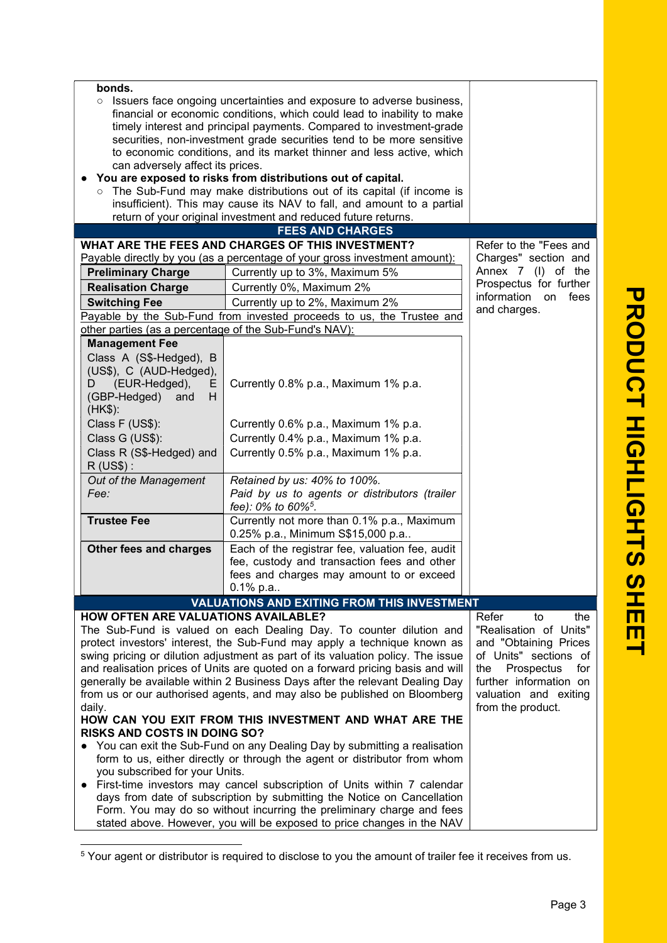| bonds.<br>Issuers face ongoing uncertainties and exposure to adverse business,<br>$\circ$<br>financial or economic conditions, which could lead to inability to make<br>timely interest and principal payments. Compared to investment-grade<br>securities, non-investment grade securities tend to be more sensitive<br>to economic conditions, and its market thinner and less active, which<br>can adversely affect its prices.<br>You are exposed to risks from distributions out of capital.<br>o The Sub-Fund may make distributions out of its capital (if income is                                                                                                                                                                    |                                                                                                                                                                   |                                                                      |  |  |  |
|------------------------------------------------------------------------------------------------------------------------------------------------------------------------------------------------------------------------------------------------------------------------------------------------------------------------------------------------------------------------------------------------------------------------------------------------------------------------------------------------------------------------------------------------------------------------------------------------------------------------------------------------------------------------------------------------------------------------------------------------|-------------------------------------------------------------------------------------------------------------------------------------------------------------------|----------------------------------------------------------------------|--|--|--|
| insufficient). This may cause its NAV to fall, and amount to a partial                                                                                                                                                                                                                                                                                                                                                                                                                                                                                                                                                                                                                                                                         |                                                                                                                                                                   |                                                                      |  |  |  |
| return of your original investment and reduced future returns.                                                                                                                                                                                                                                                                                                                                                                                                                                                                                                                                                                                                                                                                                 |                                                                                                                                                                   |                                                                      |  |  |  |
|                                                                                                                                                                                                                                                                                                                                                                                                                                                                                                                                                                                                                                                                                                                                                | <b>FEES AND CHARGES</b>                                                                                                                                           |                                                                      |  |  |  |
| <b>Preliminary Charge</b>                                                                                                                                                                                                                                                                                                                                                                                                                                                                                                                                                                                                                                                                                                                      | WHAT ARE THE FEES AND CHARGES OF THIS INVESTMENT?<br>Payable directly by you (as a percentage of your gross investment amount):<br>Currently up to 3%, Maximum 5% | Refer to the "Fees and<br>Charges" section and<br>Annex 7 (I) of the |  |  |  |
| <b>Realisation Charge</b>                                                                                                                                                                                                                                                                                                                                                                                                                                                                                                                                                                                                                                                                                                                      | Currently 0%, Maximum 2%                                                                                                                                          | Prospectus for further                                               |  |  |  |
|                                                                                                                                                                                                                                                                                                                                                                                                                                                                                                                                                                                                                                                                                                                                                |                                                                                                                                                                   | information<br>fees<br>on                                            |  |  |  |
| <b>Switching Fee</b>                                                                                                                                                                                                                                                                                                                                                                                                                                                                                                                                                                                                                                                                                                                           | Currently up to 2%, Maximum 2%<br>Payable by the Sub-Fund from invested proceeds to us, the Trustee and                                                           | and charges.                                                         |  |  |  |
| other parties (as a percentage of the Sub-Fund's NAV):                                                                                                                                                                                                                                                                                                                                                                                                                                                                                                                                                                                                                                                                                         |                                                                                                                                                                   |                                                                      |  |  |  |
| <b>Management Fee</b>                                                                                                                                                                                                                                                                                                                                                                                                                                                                                                                                                                                                                                                                                                                          |                                                                                                                                                                   |                                                                      |  |  |  |
| Class A (S\$-Hedged), B<br>(US\$), C (AUD-Hedged),<br>(EUR-Hedged),<br>D<br>E.<br>(GBP-Hedged)<br>and<br>H.<br>(HK\$):                                                                                                                                                                                                                                                                                                                                                                                                                                                                                                                                                                                                                         | Currently 0.8% p.a., Maximum 1% p.a.                                                                                                                              |                                                                      |  |  |  |
| Class F (US\$):                                                                                                                                                                                                                                                                                                                                                                                                                                                                                                                                                                                                                                                                                                                                | Currently 0.6% p.a., Maximum 1% p.a.                                                                                                                              |                                                                      |  |  |  |
| Class G (US\$):                                                                                                                                                                                                                                                                                                                                                                                                                                                                                                                                                                                                                                                                                                                                | Currently 0.4% p.a., Maximum 1% p.a.                                                                                                                              |                                                                      |  |  |  |
| Class R (S\$-Hedged) and<br>$R$ (US\$):                                                                                                                                                                                                                                                                                                                                                                                                                                                                                                                                                                                                                                                                                                        | Currently 0.5% p.a., Maximum 1% p.a.                                                                                                                              |                                                                      |  |  |  |
| Out of the Management<br>Fee:                                                                                                                                                                                                                                                                                                                                                                                                                                                                                                                                                                                                                                                                                                                  | Retained by us: 40% to 100%.<br>Paid by us to agents or distributors (trailer<br>fee): 0% to 60% <sup>5</sup> .                                                   |                                                                      |  |  |  |
| <b>Trustee Fee</b>                                                                                                                                                                                                                                                                                                                                                                                                                                                                                                                                                                                                                                                                                                                             | Currently not more than 0.1% p.a., Maximum<br>0.25% p.a., Minimum S\$15,000 p.a                                                                                   |                                                                      |  |  |  |
| Other fees and charges                                                                                                                                                                                                                                                                                                                                                                                                                                                                                                                                                                                                                                                                                                                         | Each of the registrar fee, valuation fee, audit<br>fee, custody and transaction fees and other<br>fees and charges may amount to or exceed                        |                                                                      |  |  |  |
|                                                                                                                                                                                                                                                                                                                                                                                                                                                                                                                                                                                                                                                                                                                                                | $0.1\%$ p.a                                                                                                                                                       |                                                                      |  |  |  |
|                                                                                                                                                                                                                                                                                                                                                                                                                                                                                                                                                                                                                                                                                                                                                | <b>VALUATIONS AND EXITING FROM THIS INVESTMENT</b>                                                                                                                |                                                                      |  |  |  |
| <b>HOW OFTEN ARE VALUATIONS AVAILABLE?</b><br>Refer<br>to<br>the<br>"Realisation of Units"<br>The Sub-Fund is valued on each Dealing Day. To counter dilution and<br>protect investors' interest, the Sub-Fund may apply a technique known as<br>and "Obtaining Prices<br>swing pricing or dilution adjustment as part of its valuation policy. The issue<br>of Units" sections of<br>and realisation prices of Units are quoted on a forward pricing basis and will<br>for<br>the<br>Prospectus<br>generally be available within 2 Business Days after the relevant Dealing Day<br>further information on<br>from us or our authorised agents, and may also be published on Bloomberg<br>valuation and exiting<br>from the product.<br>daily. |                                                                                                                                                                   |                                                                      |  |  |  |
| HOW CAN YOU EXIT FROM THIS INVESTMENT AND WHAT ARE THE<br><b>RISKS AND COSTS IN DOING SO?</b>                                                                                                                                                                                                                                                                                                                                                                                                                                                                                                                                                                                                                                                  |                                                                                                                                                                   |                                                                      |  |  |  |
| • You can exit the Sub-Fund on any Dealing Day by submitting a realisation<br>form to us, either directly or through the agent or distributor from whom<br>you subscribed for your Units.                                                                                                                                                                                                                                                                                                                                                                                                                                                                                                                                                      |                                                                                                                                                                   |                                                                      |  |  |  |
|                                                                                                                                                                                                                                                                                                                                                                                                                                                                                                                                                                                                                                                                                                                                                | First-time investors may cancel subscription of Units within 7 calendar                                                                                           |                                                                      |  |  |  |
|                                                                                                                                                                                                                                                                                                                                                                                                                                                                                                                                                                                                                                                                                                                                                | days from date of subscription by submitting the Notice on Cancellation                                                                                           |                                                                      |  |  |  |
| Form. You may do so without incurring the preliminary charge and fees<br>stated above. However, you will be exposed to price changes in the NAV                                                                                                                                                                                                                                                                                                                                                                                                                                                                                                                                                                                                |                                                                                                                                                                   |                                                                      |  |  |  |

<sup>&</sup>lt;sup>5</sup> Your agent or distributor is required to disclose to you the amount of trailer fee it receives from us.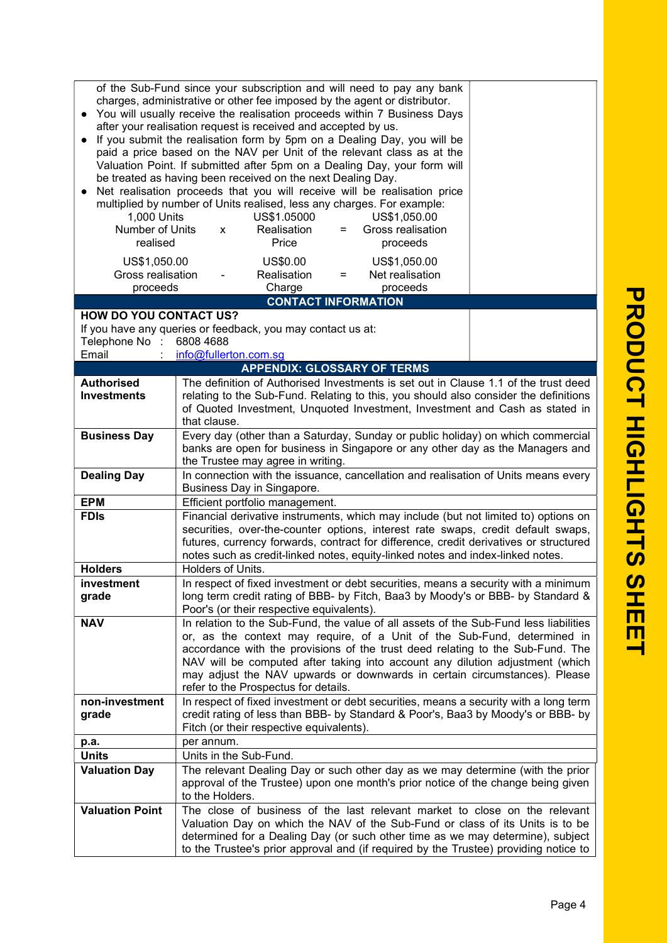| of the Sub-Fund since your subscription and will need to pay any bank<br>charges, administrative or other fee imposed by the agent or distributor.<br>You will usually receive the realisation proceeds within 7 Business Days<br>after your realisation request is received and accepted by us.<br>If you submit the realisation form by 5pm on a Dealing Day, you will be<br>paid a price based on the NAV per Unit of the relevant class as at the<br>Valuation Point. If submitted after 5pm on a Dealing Day, your form will<br>be treated as having been received on the next Dealing Day.<br>Net realisation proceeds that you will receive will be realisation price<br>multiplied by number of Units realised, less any charges. For example:<br>1,000 Units<br>US\$1.05000<br>US\$1,050.00<br>Number of Units<br>Realisation<br>Gross realisation<br>$\mathsf{x}$<br>$=$ |                                                                                                                                                                                                                                                                                                                                                                                                                                                           |  |  |  |
|------------------------------------------------------------------------------------------------------------------------------------------------------------------------------------------------------------------------------------------------------------------------------------------------------------------------------------------------------------------------------------------------------------------------------------------------------------------------------------------------------------------------------------------------------------------------------------------------------------------------------------------------------------------------------------------------------------------------------------------------------------------------------------------------------------------------------------------------------------------------------------|-----------------------------------------------------------------------------------------------------------------------------------------------------------------------------------------------------------------------------------------------------------------------------------------------------------------------------------------------------------------------------------------------------------------------------------------------------------|--|--|--|
| realised<br>US\$1,050.00                                                                                                                                                                                                                                                                                                                                                                                                                                                                                                                                                                                                                                                                                                                                                                                                                                                           | Price<br>proceeds<br>US\$0.00<br>US\$1,050.00                                                                                                                                                                                                                                                                                                                                                                                                             |  |  |  |
| Gross realisation<br>proceeds                                                                                                                                                                                                                                                                                                                                                                                                                                                                                                                                                                                                                                                                                                                                                                                                                                                      | Realisation<br>Net realisation<br>$=$<br>Charge<br>proceeds                                                                                                                                                                                                                                                                                                                                                                                               |  |  |  |
|                                                                                                                                                                                                                                                                                                                                                                                                                                                                                                                                                                                                                                                                                                                                                                                                                                                                                    | <b>CONTACT INFORMATION</b>                                                                                                                                                                                                                                                                                                                                                                                                                                |  |  |  |
| <b>HOW DO YOU CONTACT US?</b>                                                                                                                                                                                                                                                                                                                                                                                                                                                                                                                                                                                                                                                                                                                                                                                                                                                      |                                                                                                                                                                                                                                                                                                                                                                                                                                                           |  |  |  |
|                                                                                                                                                                                                                                                                                                                                                                                                                                                                                                                                                                                                                                                                                                                                                                                                                                                                                    | If you have any queries or feedback, you may contact us at:                                                                                                                                                                                                                                                                                                                                                                                               |  |  |  |
| Telephone No :                                                                                                                                                                                                                                                                                                                                                                                                                                                                                                                                                                                                                                                                                                                                                                                                                                                                     | 6808 4688                                                                                                                                                                                                                                                                                                                                                                                                                                                 |  |  |  |
| Email                                                                                                                                                                                                                                                                                                                                                                                                                                                                                                                                                                                                                                                                                                                                                                                                                                                                              | info@fullerton.com.sg<br><b>APPENDIX: GLOSSARY OF TERMS</b>                                                                                                                                                                                                                                                                                                                                                                                               |  |  |  |
| <b>Authorised</b>                                                                                                                                                                                                                                                                                                                                                                                                                                                                                                                                                                                                                                                                                                                                                                                                                                                                  |                                                                                                                                                                                                                                                                                                                                                                                                                                                           |  |  |  |
| <b>Investments</b>                                                                                                                                                                                                                                                                                                                                                                                                                                                                                                                                                                                                                                                                                                                                                                                                                                                                 | The definition of Authorised Investments is set out in Clause 1.1 of the trust deed<br>relating to the Sub-Fund. Relating to this, you should also consider the definitions<br>of Quoted Investment, Unquoted Investment, Investment and Cash as stated in<br>that clause.                                                                                                                                                                                |  |  |  |
| <b>Business Day</b>                                                                                                                                                                                                                                                                                                                                                                                                                                                                                                                                                                                                                                                                                                                                                                                                                                                                | Every day (other than a Saturday, Sunday or public holiday) on which commercial<br>banks are open for business in Singapore or any other day as the Managers and<br>the Trustee may agree in writing.                                                                                                                                                                                                                                                     |  |  |  |
| <b>Dealing Day</b>                                                                                                                                                                                                                                                                                                                                                                                                                                                                                                                                                                                                                                                                                                                                                                                                                                                                 | In connection with the issuance, cancellation and realisation of Units means every<br>Business Day in Singapore.                                                                                                                                                                                                                                                                                                                                          |  |  |  |
| <b>EPM</b>                                                                                                                                                                                                                                                                                                                                                                                                                                                                                                                                                                                                                                                                                                                                                                                                                                                                         | Efficient portfolio management.                                                                                                                                                                                                                                                                                                                                                                                                                           |  |  |  |
| <b>FDIs</b>                                                                                                                                                                                                                                                                                                                                                                                                                                                                                                                                                                                                                                                                                                                                                                                                                                                                        | Financial derivative instruments, which may include (but not limited to) options on<br>securities, over-the-counter options, interest rate swaps, credit default swaps,<br>futures, currency forwards, contract for difference, credit derivatives or structured<br>notes such as credit-linked notes, equity-linked notes and index-linked notes.                                                                                                        |  |  |  |
| <b>Holders</b>                                                                                                                                                                                                                                                                                                                                                                                                                                                                                                                                                                                                                                                                                                                                                                                                                                                                     | Holders of Units.                                                                                                                                                                                                                                                                                                                                                                                                                                         |  |  |  |
| <b>Investment</b><br>grade                                                                                                                                                                                                                                                                                                                                                                                                                                                                                                                                                                                                                                                                                                                                                                                                                                                         | In respect of fixed investment or debt securities, means a security with a minimum<br>long term credit rating of BBB- by Fitch, Baa3 by Moody's or BBB- by Standard &<br>Poor's (or their respective equivalents).                                                                                                                                                                                                                                        |  |  |  |
| <b>NAV</b>                                                                                                                                                                                                                                                                                                                                                                                                                                                                                                                                                                                                                                                                                                                                                                                                                                                                         | In relation to the Sub-Fund, the value of all assets of the Sub-Fund less liabilities<br>or, as the context may require, of a Unit of the Sub-Fund, determined in<br>accordance with the provisions of the trust deed relating to the Sub-Fund. The<br>NAV will be computed after taking into account any dilution adjustment (which<br>may adjust the NAV upwards or downwards in certain circumstances). Please<br>refer to the Prospectus for details. |  |  |  |
| non-investment<br>grade                                                                                                                                                                                                                                                                                                                                                                                                                                                                                                                                                                                                                                                                                                                                                                                                                                                            | In respect of fixed investment or debt securities, means a security with a long term<br>credit rating of less than BBB- by Standard & Poor's, Baa3 by Moody's or BBB- by<br>Fitch (or their respective equivalents).                                                                                                                                                                                                                                      |  |  |  |
| p.a.                                                                                                                                                                                                                                                                                                                                                                                                                                                                                                                                                                                                                                                                                                                                                                                                                                                                               | per annum.                                                                                                                                                                                                                                                                                                                                                                                                                                                |  |  |  |
| <b>Units</b>                                                                                                                                                                                                                                                                                                                                                                                                                                                                                                                                                                                                                                                                                                                                                                                                                                                                       | Units in the Sub-Fund.                                                                                                                                                                                                                                                                                                                                                                                                                                    |  |  |  |
| <b>Valuation Day</b>                                                                                                                                                                                                                                                                                                                                                                                                                                                                                                                                                                                                                                                                                                                                                                                                                                                               | The relevant Dealing Day or such other day as we may determine (with the prior<br>approval of the Trustee) upon one month's prior notice of the change being given<br>to the Holders.                                                                                                                                                                                                                                                                     |  |  |  |
| <b>Valuation Point</b>                                                                                                                                                                                                                                                                                                                                                                                                                                                                                                                                                                                                                                                                                                                                                                                                                                                             | The close of business of the last relevant market to close on the relevant<br>Valuation Day on which the NAV of the Sub-Fund or class of its Units is to be<br>determined for a Dealing Day (or such other time as we may determine), subject                                                                                                                                                                                                             |  |  |  |

 $\overline{\Gamma}$ 

to the Trustee's prior approval and (if required by the Trustee) providing notice to